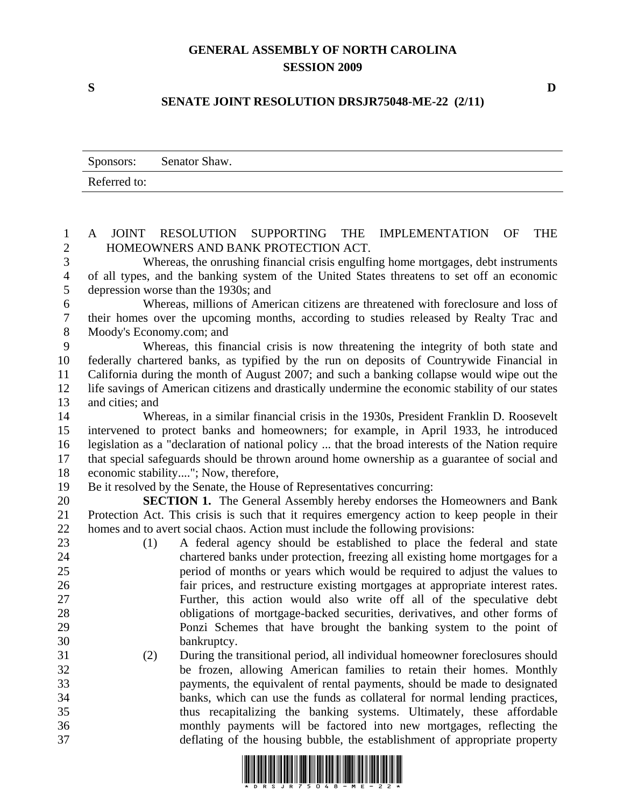## **GENERAL ASSEMBLY OF NORTH CAROLINA SESSION 2009**

## **SENATE JOINT RESOLUTION DRSJR75048-ME-22 (2/11)**

|              | Sponsors: Senator Shaw. |
|--------------|-------------------------|
| Referred to: |                         |

| $\mathbf{1}$   | JOINT RESOLUTION SUPPORTING THE<br>A<br>IMPLEMENTATION OF<br><b>THE</b>                          |
|----------------|--------------------------------------------------------------------------------------------------|
| $\overline{2}$ | HOMEOWNERS AND BANK PROTECTION ACT.                                                              |
| 3              | Whereas, the onrushing financial crisis engulfing home mortgages, debt instruments               |
| $\overline{4}$ | of all types, and the banking system of the United States threatens to set off an economic       |
| $\mathfrak{S}$ | depression worse than the 1930s; and                                                             |
| 6              | Whereas, millions of American citizens are threatened with foreclosure and loss of               |
| $\tau$         | their homes over the upcoming months, according to studies released by Realty Trac and           |
| $\, 8$         | Moody's Economy.com; and                                                                         |
| 9              | Whereas, this financial crisis is now threatening the integrity of both state and                |
| 10             | federally chartered banks, as typified by the run on deposits of Countrywide Financial in        |
| 11             | California during the month of August 2007; and such a banking collapse would wipe out the       |
| 12             | life savings of American citizens and drastically undermine the economic stability of our states |
| 13             | and cities; and                                                                                  |
| 14             | Whereas, in a similar financial crisis in the 1930s, President Franklin D. Roosevelt             |
| 15             | intervened to protect banks and homeowners; for example, in April 1933, he introduced            |
| 16             | legislation as a "declaration of national policy  that the broad interests of the Nation require |
| 17             | that special safeguards should be thrown around home ownership as a guarantee of social and      |
| 18             | economic stability"; Now, therefore,                                                             |
| 19             | Be it resolved by the Senate, the House of Representatives concurring:                           |
| 20             | <b>SECTION 1.</b> The General Assembly hereby endorses the Homeowners and Bank                   |
| 21             | Protection Act. This crisis is such that it requires emergency action to keep people in their    |
| 22             | homes and to avert social chaos. Action must include the following provisions:                   |
| 23             | A federal agency should be established to place the federal and state<br>(1)                     |
| 24             | chartered banks under protection, freezing all existing home mortgages for a                     |
| 25             | period of months or years which would be required to adjust the values to                        |
| 26             | fair prices, and restructure existing mortgages at appropriate interest rates.                   |
| 27             | Further, this action would also write off all of the speculative debt                            |
| 28             | obligations of mortgage-backed securities, derivatives, and other forms of                       |
| 29             | Ponzi Schemes that have brought the banking system to the point of                               |
| 30             | bankruptcy.                                                                                      |
| 31             | During the transitional period, all individual homeowner foreclosures should<br>(2)              |
| 32             | be frozen, allowing American families to retain their homes. Monthly                             |
| 33             | payments, the equivalent of rental payments, should be made to designated                        |
| 34             | banks, which can use the funds as collateral for normal lending practices,                       |
| 35             | thus recapitalizing the banking systems. Ultimately, these affordable                            |
| 36             | monthly payments will be factored into new mortgages, reflecting the                             |
| 37             | deflating of the housing bubble, the establishment of appropriate property                       |



**S D**